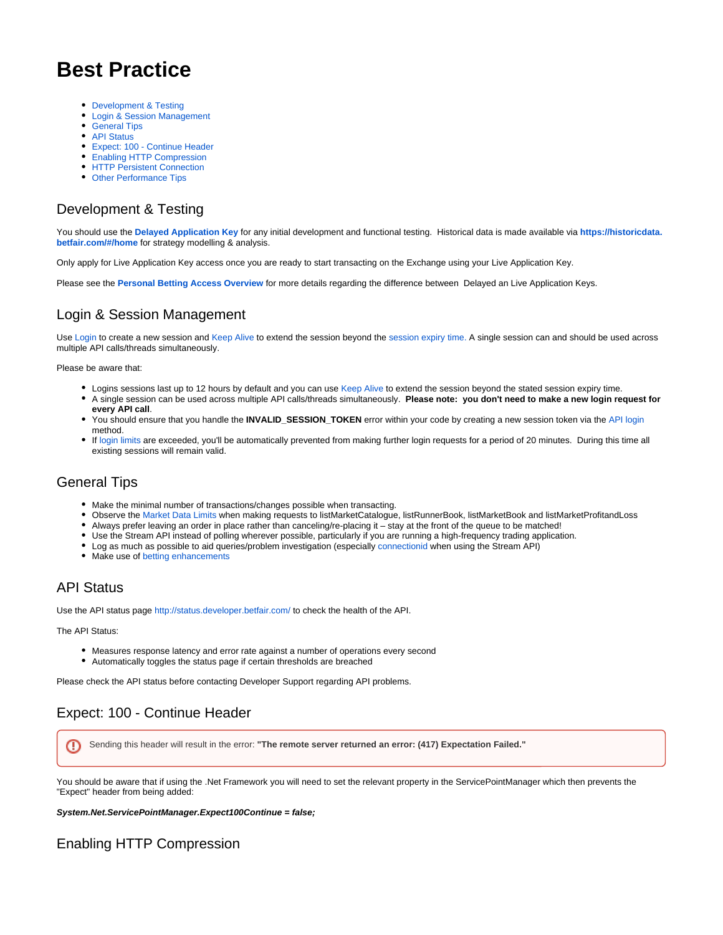# **Best Practice**

- [Development & Testing](#page-0-0)
- [Login & Session Management](#page-0-1)
- **[General Tips](#page-0-2)**
- [API Status](#page-0-3)
- [Expect: 100 Continue Header](#page-0-4)
- [Enabling HTTP Compression](#page-0-5)
- **[HTTP Persistent Connection](#page-1-0)**
- [Other Performance Tips](#page-1-1)

# <span id="page-0-0"></span>Development & Testing

You should use the **[Delayed Application Key](https://docs.developer.betfair.com/display/1smk3cen4v3lu3yomq5qye0ni/Application+Keys)** for any initial development and functional testing. Historical data is made available via **[https://historicdata.](https://historicdata.betfair.com/#/home) [betfair.com/#/home](https://historicdata.betfair.com/#/home)** for strategy modelling & analysis.

Only apply for Live Application Key access once you are ready to start transacting on the Exchange using your Live Application Key.

Please see the **[Personal Betting Access Overview](https://docs.developer.betfair.com/display/1smk3cen4v3lu3yomq5qye0ni/Application+Keys#ApplicationKeys-PBA)** for more details regarding the difference between Delayed an Live Application Keys.

# <span id="page-0-1"></span>Login & Session Management

Use [Login](https://docs.developer.betfair.com/pages/viewpage.action?pageId=3834909) to create a new session and [Keep Alive](https://docs.developer.betfair.com/pages/viewpage.action?pageId=3834909) to extend the session beyond the [session expiry time.](https://docs.developer.betfair.com/pages/viewpage.action?pageId=3834909) A single session can and should be used across multiple API calls/threads simultaneously.

Please be aware that:

- **•** Logins sessions last up to 12 hours by default and you can use [Keep Alive](https://docs.developer.betfair.com/pages/viewpage.action?pageId=3834909) to extend the session beyond the stated session expiry time.
- A single session can be used across multiple API calls/threads simultaneously. **Please note: you don't need to make a new login request for every API call**.
- You should ensure that you handle the **INVALID\_SESSION\_TOKEN** error within your code by creating a new session token via the [API login](https://docs.developer.betfair.com/pages/viewpage.action?pageId=3834909) method.
- I[f login limits](https://docs.developer.betfair.com/pages/viewpage.action?pageId=3834909#Login&SessionManagement-LoginRequestLimits) are exceeded, you'll be automatically prevented from making further login requests for a period of 20 minutes. During this time all existing sessions will remain valid.

#### <span id="page-0-2"></span>General Tips

- Make the minimal number of transactions/changes possible when transacting.
- Observe the [Market Data Limits](https://docs.developer.betfair.com/display/1smk3cen4v3lu3yomq5qye0ni/Market+Data+Request+Limits) when making requests to listMarketCatalogue, listRunnerBook, listMarketBook and listMarketProfitandLoss
- Always prefer leaving an order in place rather than canceling/re-placing it stay at the front of the queue to be matched!
- Use the Stream API instead of polling wherever possible, particularly if you are running a high-frequency trading application.
- Log as much as possible to aid queries/problem investigation (especiall[y connectionid](https://docs.developer.betfair.com/display/1smk3cen4v3lu3yomq5qye0ni/Exchange+Stream+API#ExchangeStreamAPI-Connection/ConnectionMessage) when using the Stream API)
- Make use of [betting enhancements](https://docs.developer.betfair.com/display/1smk3cen4v3lu3yomq5qye0ni/placeOrders#placeOrders-BettingEnhancements)

#### <span id="page-0-3"></span>API Status

Use the API status page <http://status.developer.betfair.com/> to check the health of the API.

The API Status:

- Measures response latency and error rate against a number of operations every second
- Automatically toggles the status page if certain thresholds are breached

Please check the API status before contacting Developer Support regarding API problems.

# <span id="page-0-4"></span>Expect: 100 - Continue Header

Sending this header will result in the error: **"The remote server returned an error: (417) Expectation Failed."**ω

You should be aware that if using the .Net Framework you will need to set the relevant property in the ServicePointManager which then prevents the "Expect" header from being added:

**System.Net.ServicePointManager.Expect100Continue = false;**

# <span id="page-0-5"></span>Enabling HTTP Compression